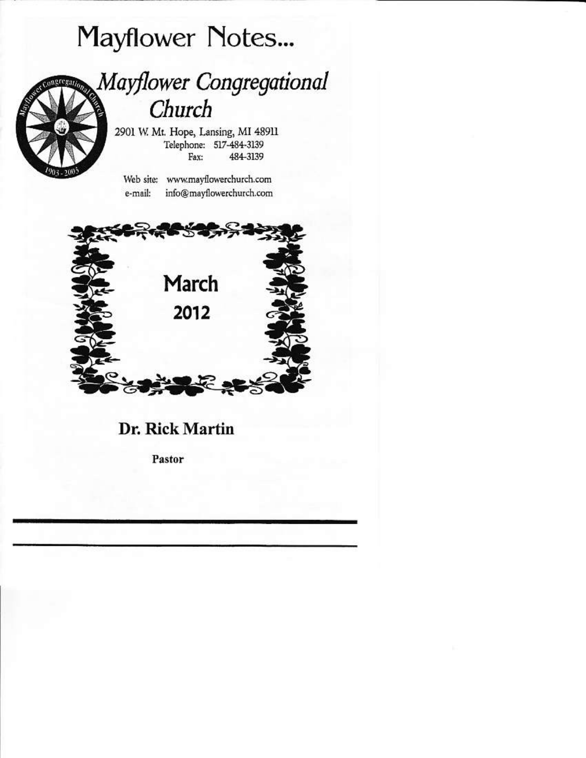# **Mayflower Notes...**



## Mayflower Congregational Church

2901 W. Mt. Hope, Lansing, MI 48911 Telephone: 517-484-3139 Fax: 484-3139

Web site: www.mayflowerchurch.com e-mail: info@mayflowerchurch.com



### Dr. Rick Martin

Pastor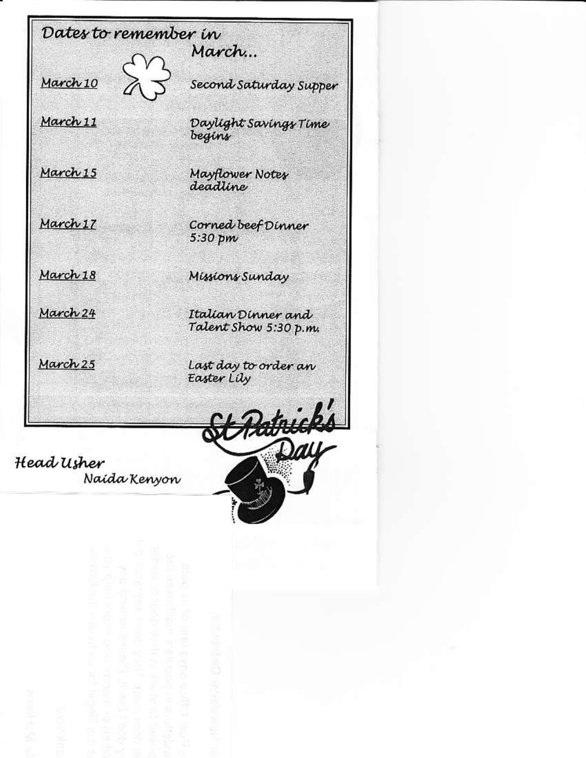Dates to remember in March... March 10 Second Saturday Supper March 11 Daylight Savings Time begins March 15 Mayflower Notes deadline March 17 Corned beef Dinner 5:30 pm March 18 Missions Sunday March 24 Italian Dinner and Talent Show 5:30 p.m. March 25 Last day to order an Easter Lily Hatnick

Head Usher Naida Kenyon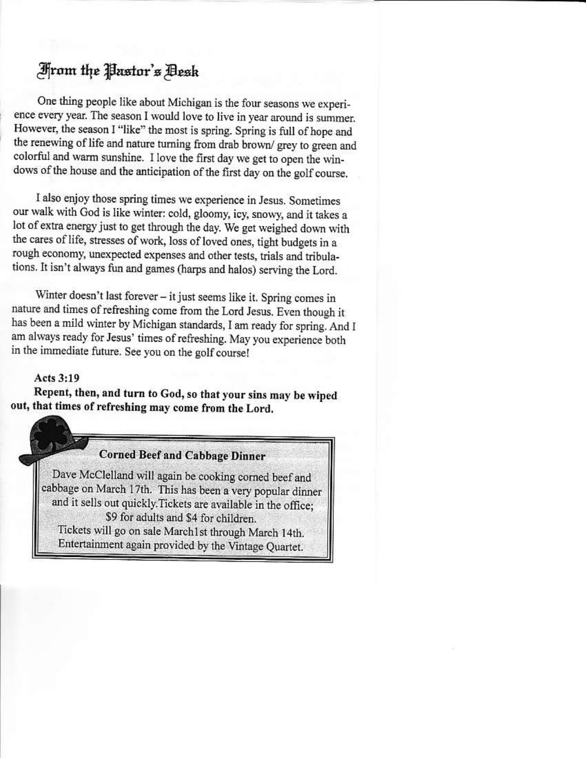## From the Pastor's Desk

One thing people like about Michigan is the four seasons we experience every year. The season I would love to live in year around is summer. However, the season I "like" the most is spring. Spring is full of hope and the renewing of life and nature turning from drab brown/grey to green and colorful and warm sunshine. I love the first day we get to open the windows of the house and the anticipation of the first day on the golf course.

I also enjoy those spring times we experience in Jesus. Sometimes our walk with God is like winter: cold, gloomy, icy, snowy, and it takes a lot of extra energy just to get through the day. We get weighed down with the cares of life, stresses of work, loss of loved ones, tight budgets in a rough economy, unexpected expenses and other tests, trials and tribulations. It isn't always fun and games (harps and halos) serving the Lord.

Winter doesn't last forever - it just seems like it. Spring comes in nature and times of refreshing come from the Lord Jesus. Even though it has been a mild winter by Michigan standards, I am ready for spring. And I am always ready for Jesus' times of refreshing. May you experience both in the immediate future. See you on the golf course!

#### Acts 3:19

Repent, then, and turn to God, so that your sins may be wiped out, that times of refreshing may come from the Lord.

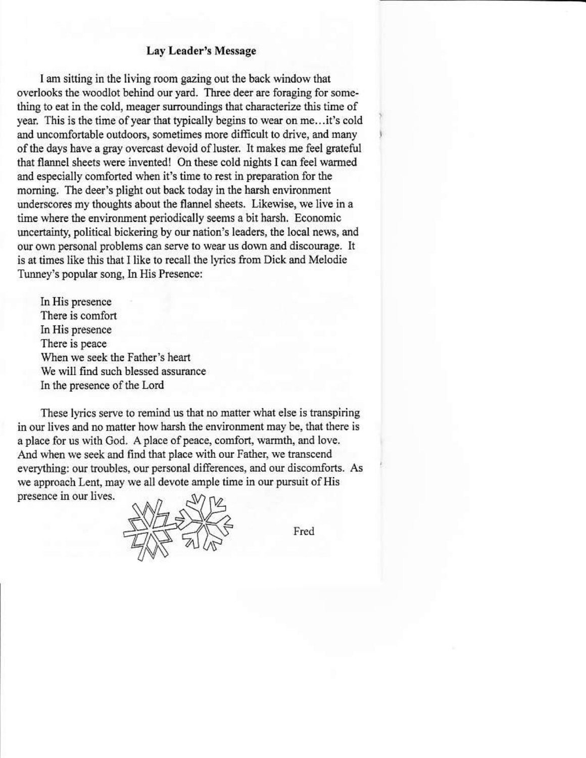#### Lay Leader's Message

I am sitting in the living room gazing out the back window that overlooks the woodlot behind our yard. Three deer are foraging for something to eat in the cold, meager surroundings that characterize this time of year. This is the time of year that typically begins to wear on me...it's cold and uncomfortable outdoors, sometimes more difficult to drive, and many of the days have a gray overcast devoid of luster. It makes me feel grateful that flannel sheets were invented! On these cold nights I can feel warmed and especially comforted when it's time to rest in preparation for the morning. The deer's plight out back today in the harsh environment underscores my thoughts about the flannel sheets. Likewise, we live in a time where the environment periodically seems a bit harsh. Economic uncertainty, political bickering by our nation's leaders, the local news, and our own personal problems can serve to wear us down and discourage. It is at times like this that I like to recall the lyrics from Dick and Melodie Tunney's popular song, In His Presence:

In His presence There is comfort In His presence There is peace When we seek the Father's heart We will find such blessed assurance In the presence of the Lord

These lyrics serve to remind us that no matter what else is transpiring in our lives and no matter how harsh the environment may be, that there is a place for us with God. A place of peace, comfort, warmth, and love. And when we seek and find that place with our Father, we transcend everything: our troubles, our personal differences, and our discomforts. As we approach Lent, may we all devote ample time in our pursuit of His presence in our lives.



Fred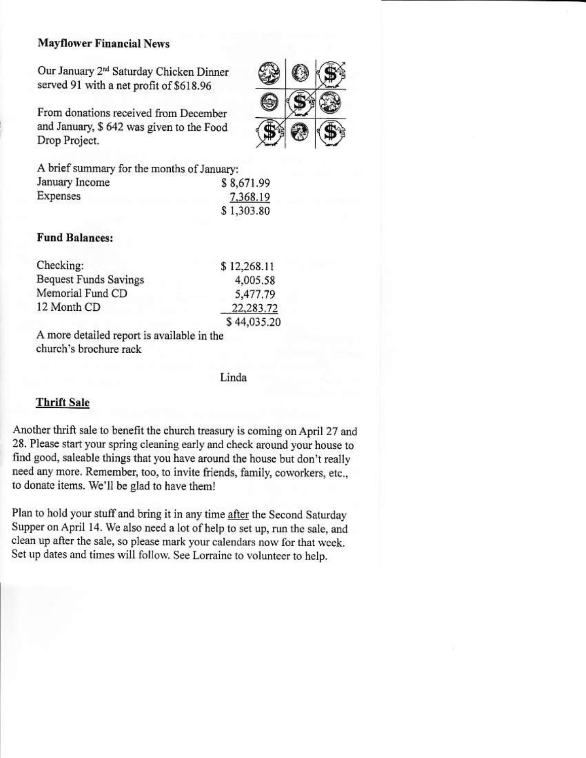#### **Mayflower Financial News**

Our January 2<sup>nd</sup> Saturday Chicken Dinner served 91 with a net profit of \$618.96

From donations received from December and January, \$ 642 was given to the Food Drop Project.



#### **Fund Balances:**

| Checking:             | \$12,268.11 |
|-----------------------|-------------|
| Bequest Funds Savings | 4,005.58    |
| Memorial Fund CD      | 5,477.79    |
| 12 Month CD           | 22,283.72   |
|                       | \$44.035.20 |

A more detailed report is available in the church's brochure rack

Linda

20

#### **Thrift Sale**

Another thrift sale to benefit the church treasury is coming on April 27 and 28. Please start your spring cleaning early and check around your house to find good, saleable things that you have around the house but don't really need any more. Remember, too, to invite friends, family, coworkers, etc., to donate items. We'll be glad to have them!

Plan to hold your stuff and bring it in any time after the Second Saturday Supper on April 14. We also need a lot of help to set up, run the sale, and clean up after the sale, so please mark your calendars now for that week. Set up dates and times will follow. See Lorraine to volunteer to help.